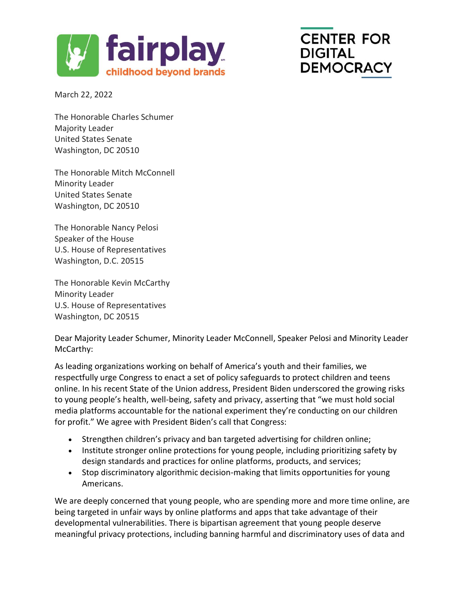

## **CENTER FOR DIGITAL DEMOCRACY**

March 22, 2022

The Honorable Charles Schumer Majority Leader United States Senate Washington, DC 20510

The Honorable Mitch McConnell Minority Leader United States Senate Washington, DC 20510

The Honorable Nancy Pelosi Speaker of the House U.S. House of Representatives Washington, D.C. 20515

The Honorable Kevin McCarthy Minority Leader U.S. House of Representatives Washington, DC 20515

Dear Majority Leader Schumer, Minority Leader McConnell, Speaker Pelosi and Minority Leader McCarthy:

As leading organizations working on behalf of America's youth and their families, we respectfully urge Congress to enact a set of policy safeguards to protect children and teens online. In his recent State of the Union address, President Biden underscored the growing risks to young people's health, well-being, safety and privacy, asserting that "we must hold social media platforms accountable for the national experiment they're conducting on our children for profit." We agree with President Biden's call that Congress:

- Strengthen children's privacy and ban targeted advertising for children online;
- Institute stronger online protections for young people, including prioritizing safety by design standards and practices for online platforms, products, and services;
- Stop discriminatory algorithmic decision-making that limits opportunities for young Americans.

We are deeply concerned that young people, who are spending more and more time online, are being targeted in unfair ways by online platforms and apps that take advantage of their developmental vulnerabilities. There is bipartisan agreement that young people deserve meaningful privacy protections, including banning harmful and discriminatory uses of data and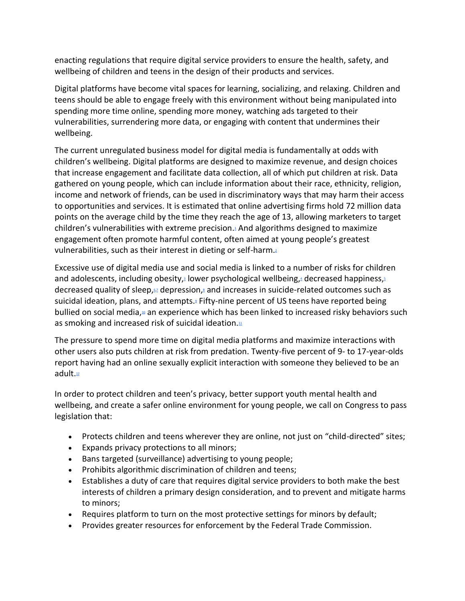enacting regulations that require digital service providers to ensure the health, safety, and wellbeing of children and teens in the design of their products and services.

Digital platforms have become vital spaces for learning, socializing, and relaxing. Children and teens should be able to engage freely with this environment without being manipulated into spending more time online, spending more money, watching ads targeted to their vulnerabilities, surrendering more data, or engaging with content that undermines their wellbeing.

The current unregulated business model for digital media is fundamentally at odds with children's wellbeing. Digital platforms are designed to maximize revenue, and design choices that increase engagement and facilitate data collection, all of which put children at risk. Data gathered on young people, which can include information about their race, ethnicity, religion, income and network of friends, can be used in discriminatory ways that may harm their access to opportunities and services. It is estimated that online advertising firms hold 72 million data points on the average child by the time they reach the age of 13, allowing marketers to target children's vulnerabilities with extreme precision[.](https://docs.google.com/document/d/1r9yvLT2ZKTkpv5NQTNO7nTwbi3UDiOCmE13FyL3RWzE/edit#bookmark=id.ovydouefa9el)<sup>1</sup> And algorithms designed to maximize engagement often promote harmful content, often aimed at young people's greatest vulnerabilities, such as their interest in dieting or self-harm[.](https://docs.google.com/document/d/1r9yvLT2ZKTkpv5NQTNO7nTwbi3UDiOCmE13FyL3RWzE/edit#bookmark=id.u031yr7iaxxc)<sup>2</sup>

Excessive use of digital media use and social media is linked to a number of risks for children and adolescents[,](https://docs.google.com/document/d/1r9yvLT2ZKTkpv5NQTNO7nTwbi3UDiOCmE13FyL3RWzE/edit#bookmark=id.o7ze5xv8f68) including obesity, lower psychological wellbeing, decreased happiness,  $s$ decreased quality of sleep[,](https://docs.google.com/document/d/1r9yvLT2ZKTkpv5NQTNO7nTwbi3UDiOCmE13FyL3RWzE/edit#bookmark=id.9jim48yr73be) $\omega$  depression, $\epsilon$  and increases in suicide-related outcomes such as suicidal ideation, plans, and attempts[.](https://docs.google.com/document/d/1r9yvLT2ZKTkpv5NQTNO7nTwbi3UDiOCmE13FyL3RWzE/edit#bookmark=id.9c0vu27dzvh6)<sup>®</sup> Fifty-nine percent of US teens have reported being bullied on social media[,](https://docs.google.com/document/d/1r9yvLT2ZKTkpv5NQTNO7nTwbi3UDiOCmE13FyL3RWzE/edit#bookmark=id.w8w2yla41w50)<sup>10</sup> an experience which has been linked to increased risky behaviors such as smoking and increased risk of suicidal ideation[.](https://docs.google.com/document/d/1r9yvLT2ZKTkpv5NQTNO7nTwbi3UDiOCmE13FyL3RWzE/edit#bookmark=id.5hpksnrihl3u) $\mathbb{1}$ 

The pressure to spend more time on digital media platforms and maximize interactions with other users also puts children at risk from predation. Twenty-five percent of 9- to 17-year-olds report having had an online sexually explicit interaction with someone they believed to be an adult[.](https://docs.google.com/document/d/1r9yvLT2ZKTkpv5NQTNO7nTwbi3UDiOCmE13FyL3RWzE/edit#bookmark=id.nk0joz1cayv1)<sup>12</sup>

In order to protect children and teen's privacy, better support youth mental health and wellbeing, and create a safer online environment for young people, we call on Congress to pass legislation that:

- Protects children and teens wherever they are online, not just on "child-directed" sites;
- Expands privacy protections to all minors;
- Bans targeted (surveillance) advertising to young people;
- Prohibits algorithmic discrimination of children and teens;
- Establishes a duty of care that requires digital service providers to both make the best interests of children a primary design consideration, and to prevent and mitigate harms to minors;
- Requires platform to turn on the most protective settings for minors by default;
- Provides greater resources for enforcement by the Federal Trade Commission.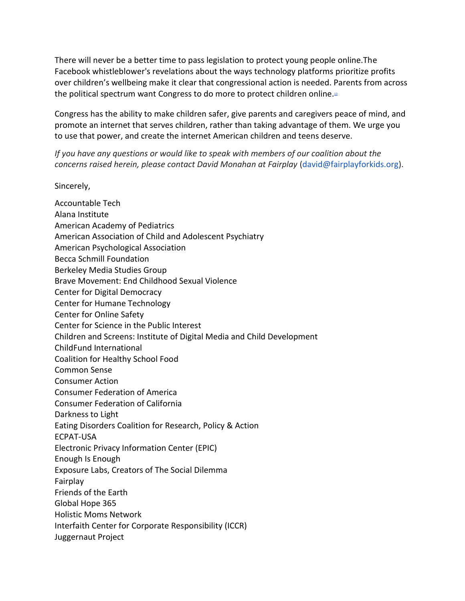There will never be a better time to pass legislation to protect young people online.The Facebook whistleblower's revelations about the ways technology platforms prioritize profits over children's wellbeing make it clear that congressional action is needed. Parents from across the political spectrum want Congress to do more to protect children online[.](https://docs.google.com/document/d/1r9yvLT2ZKTkpv5NQTNO7nTwbi3UDiOCmE13FyL3RWzE/edit#bookmark=id.lvzvdol26xgn)<sup>13</sup>

Congress has the ability to make children safer, give parents and caregivers peace of mind, and promote an internet that serves children, rather than taking advantage of them. We urge you to use that power, and create the internet American children and teens deserve.

*If you have any questions or would like to speak with members of our coalition about the concerns raised herein, please contact David Monahan at Fairplay* (david@fairplayforkids.org).

Sincerely,

Accountable Tech Alana Institute American Academy of Pediatrics American Association of Child and Adolescent Psychiatry American Psychological Association Becca Schmill Foundation Berkeley Media Studies Group Brave Movement: End Childhood Sexual Violence Center for Digital Democracy Center for Humane Technology Center for Online Safety Center for Science in the Public Interest Children and Screens: Institute of Digital Media and Child Development ChildFund International Coalition for Healthy School Food Common Sense Consumer Action Consumer Federation of America Consumer Federation of California Darkness to Light Eating Disorders Coalition for Research, Policy & Action ECPAT-USA Electronic Privacy Information Center (EPIC) Enough Is Enough Exposure Labs, Creators of The Social Dilemma Fairplay Friends of the Earth Global Hope 365 Holistic Moms Network Interfaith Center for Corporate Responsibility (ICCR) Juggernaut Project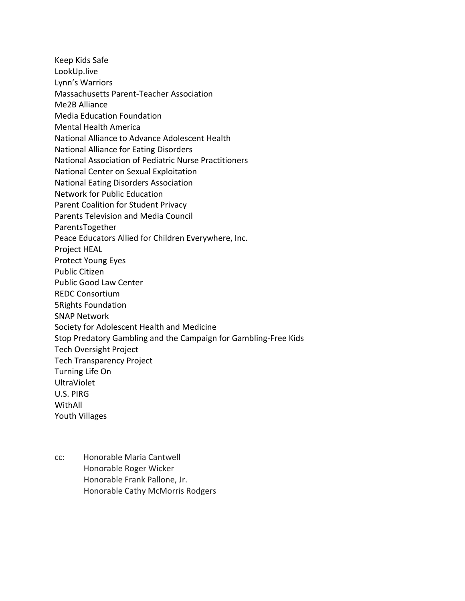Keep Kids Safe LookUp.live Lynn's Warriors Massachusetts Parent-Teacher Association Me2B Alliance Media Education Foundation Mental Health America National Alliance to Advance Adolescent Health National Alliance for Eating Disorders National Association of Pediatric Nurse Practitioners National Center on Sexual Exploitation National Eating Disorders Association Network for Public Education Parent Coalition for Student Privacy Parents Television and Media Council ParentsTogether Peace Educators Allied for Children Everywhere, Inc. Project HEAL Protect Young Eyes Public Citizen Public Good Law Center REDC Consortium 5Rights Foundation SNAP Network Society for Adolescent Health and Medicine Stop Predatory Gambling and the Campaign for Gambling-Free Kids Tech Oversight Project Tech Transparency Project Turning Life On UltraViolet U.S. PIRG WithAll Youth Villages

cc: Honorable Maria Cantwell Honorable Roger Wicker Honorable Frank Pallone, Jr. Honorable Cathy McMorris Rodgers